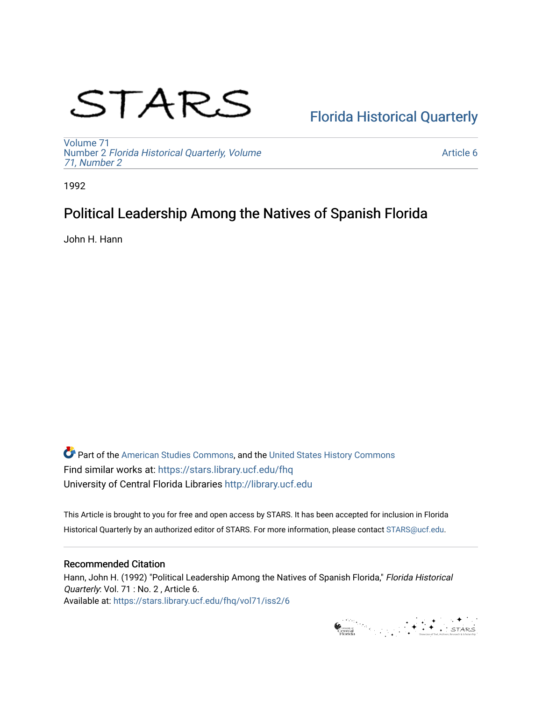# STARS

# [Florida Historical Quarterly](https://stars.library.ucf.edu/fhq)

[Volume 71](https://stars.library.ucf.edu/fhq/vol71) Number 2 [Florida Historical Quarterly, Volume](https://stars.library.ucf.edu/fhq/vol71/iss2)  [71, Number 2](https://stars.library.ucf.edu/fhq/vol71/iss2)

[Article 6](https://stars.library.ucf.edu/fhq/vol71/iss2/6) 

1992

## Political Leadership Among the Natives of Spanish Florida

John H. Hann

**C** Part of the [American Studies Commons](http://network.bepress.com/hgg/discipline/439?utm_source=stars.library.ucf.edu%2Ffhq%2Fvol71%2Fiss2%2F6&utm_medium=PDF&utm_campaign=PDFCoverPages), and the United States History Commons Find similar works at: <https://stars.library.ucf.edu/fhq> University of Central Florida Libraries [http://library.ucf.edu](http://library.ucf.edu/) 

This Article is brought to you for free and open access by STARS. It has been accepted for inclusion in Florida Historical Quarterly by an authorized editor of STARS. For more information, please contact [STARS@ucf.edu.](mailto:STARS@ucf.edu)

### Recommended Citation

Hann, John H. (1992) "Political Leadership Among the Natives of Spanish Florida," Florida Historical Quarterly: Vol. 71 : No. 2, Article 6. Available at: [https://stars.library.ucf.edu/fhq/vol71/iss2/6](https://stars.library.ucf.edu/fhq/vol71/iss2/6?utm_source=stars.library.ucf.edu%2Ffhq%2Fvol71%2Fiss2%2F6&utm_medium=PDF&utm_campaign=PDFCoverPages) 

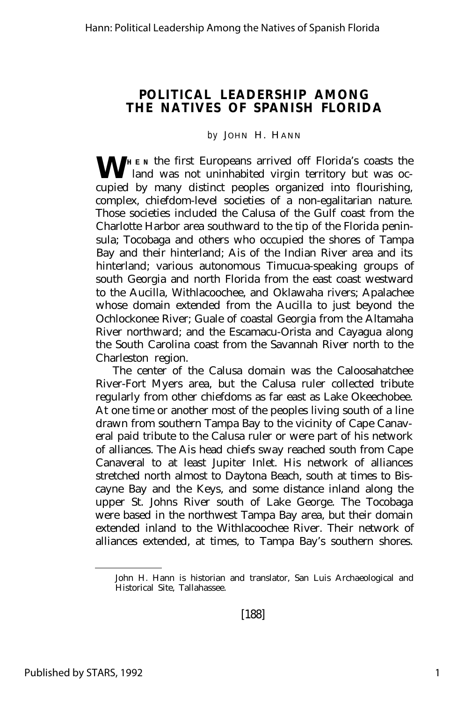#### **POLITICAL LEADERSHIP AMONG THE NATIVES OF SPANISH FLORIDA**

#### *by* JOHN H. HANN

**W H** E<sub>N</sub> the first Europeans arrived off Florida's coasts the land was not uninhabited virgin territory but was occupied by many distinct peoples organized into flourishing, complex, chiefdom-level societies of a non-egalitarian nature. Those societies included the Calusa of the Gulf coast from the Charlotte Harbor area southward to the tip of the Florida peninsula; Tocobaga and others who occupied the shores of Tampa Bay and their hinterland; Ais of the Indian River area and its hinterland; various autonomous Timucua-speaking groups of south Georgia and north Florida from the east coast westward to the Aucilla, Withlacoochee, and Oklawaha rivers; Apalachee whose domain extended from the Aucilla to just beyond the Ochlockonee River; Guale of coastal Georgia from the Altamaha River northward; and the Escamacu-Orista and Cayagua along the South Carolina coast from the Savannah River north to the Charleston region.

The center of the Calusa domain was the Caloosahatchee River-Fort Myers area, but the Calusa ruler collected tribute regularly from other chiefdoms as far east as Lake Okeechobee. At one time or another most of the peoples living south of a line drawn from southern Tampa Bay to the vicinity of Cape Canaveral paid tribute to the Calusa ruler or were part of his network of alliances. The Ais head chiefs sway reached south from Cape Canaveral to at least Jupiter Inlet. His network of alliances stretched north almost to Daytona Beach, south at times to Biscayne Bay and the Keys, and some distance inland along the upper St. Johns River south of Lake George. The Tocobaga were based in the northwest Tampa Bay area, but their domain extended inland to the Withlacoochee River. Their network of alliances extended, at times, to Tampa Bay's southern shores.

John H. Hann is historian and translator, San Luis Archaeological and Historical Site, Tallahassee.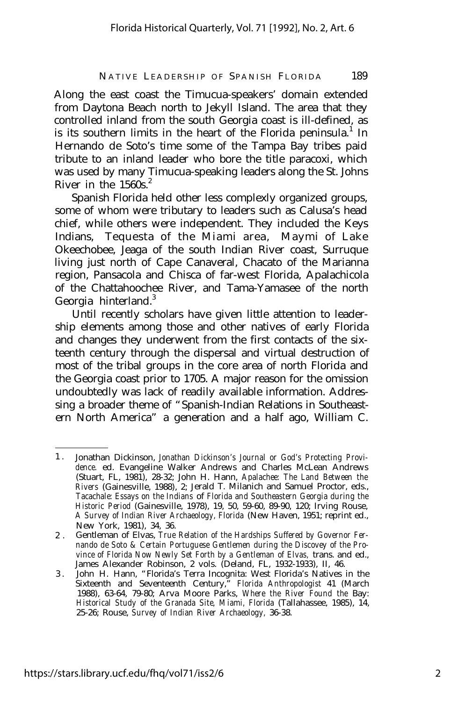Along the east coast the Timucua-speakers' domain extended from Daytona Beach north to Jekyll Island. The area that they controlled inland from the south Georgia coast is ill-defined, as is its southern limits in the heart of the Florida peninsula.<sup>1</sup> In Hernando de Soto's time some of the Tampa Bay tribes paid tribute to an inland leader who bore the title paracoxi, which was used by many Timucua-speaking leaders along the St. Johns River in the  $1560s<sup>2</sup>$ 

Spanish Florida held other less complexly organized groups, some of whom were tributary to leaders such as Calusa's head chief, while others were independent. They included the Keys Indians, Tequesta of the Miami area, Maymi of Lake Okeechobee, Jeaga of the south Indian River coast, Surruque living just north of Cape Canaveral, Chacato of the Marianna region, Pansacola and Chisca of far-west Florida, Apalachicola of the Chattahoochee River, and Tama-Yamasee of the north Georgia hinterland.<sup>3</sup>

Until recently scholars have given little attention to leadership elements among those and other natives of early Florida and changes they underwent from the first contacts of the sixteenth century through the dispersal and virtual destruction of most of the tribal groups in the core area of north Florida and the Georgia coast prior to 1705. A major reason for the omission undoubtedly was lack of readily available information. Addressing a broader theme of "Spanish-Indian Relations in Southeastern North America" a generation and a half ago, William C.

<sup>1</sup> . Jonathan Dickinson, *Jonathan Dickinson's Journal or God's Protecting Providence.* ed. Evangeline Walker Andrews and Charles McLean Andrews (Stuart, FL, 1981), 28-32; John H. Hann, *Apalachee: The Land Between the Rivers* (Gainesville, 1988), 2; Jerald T. Milanich and Samuel Proctor, eds., *Tacachale: Essays on the Indians* of *Florida and Southeastern Georgia during the Historic Period* (Gainesville, 1978), 19, 50, 59-60, 89-90, 120; Irving Rouse, *A Survey of Indian River Archaeology, Florida* (New Haven, 1951; reprint ed., New York, 1981), 34, 36.

<sup>2</sup> . Gentleman of Elvas, *True Relation of the Hardships Suffered by Governor Fernando de Soto & Certain Portuguese Gentlemen during the Discovey of the Pro*vince of Florida Now Newly Set Forth by a Gentleman of Elvas, trans. and ed., James Alexander Robinson, 2 vols. (Deland, FL, 1932-1933), II, 46.

<sup>3</sup> . John H. Hann, "Florida's Terra Incognita: West Florida's Natives in the Sixteenth and Seventeenth Century," *Florida Anthropologist* 41 (March 1988), 63-64, 79-80; Arva Moore Parks, *Where the River Found the* Bay: *Historical Study of the Granada Site, Miami, Florida* (Tallahassee, 1985), 14, 25-26; Rouse, *Survey of Indian River Archaeology,* 36-38.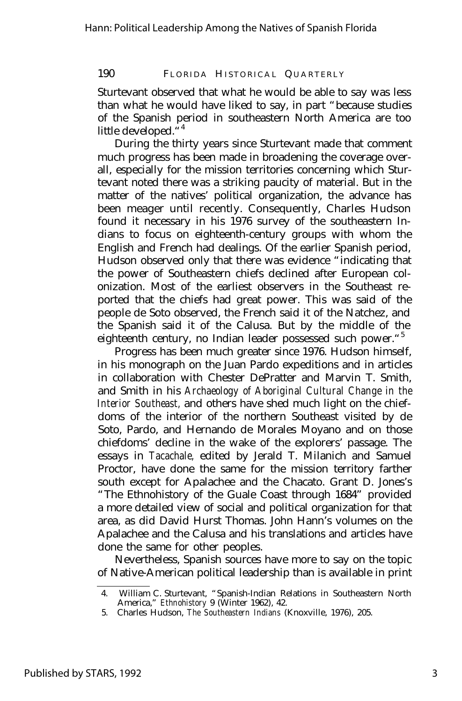Sturtevant observed that what he would be able to say was less than what he would have liked to say, in part "because studies of the Spanish period in southeastern North America are too little developed.<sup>"4</sup>

During the thirty years since Sturtevant made that comment much progress has been made in broadening the coverage overall, especially for the mission territories concerning which Sturtevant noted there was a striking paucity of material. But in the matter of the natives' political organization, the advance has been meager until recently. Consequently, Charles Hudson found it necessary in his 1976 survey of the southeastern Indians to focus on eighteenth-century groups with whom the English and French had dealings. Of the earlier Spanish period, Hudson observed only that there was evidence "indicating that the power of Southeastern chiefs declined after European colonization. Most of the earliest observers in the Southeast reported that the chiefs had great power. This was said of the people de Soto observed, the French said it of the Natchez, and the Spanish said it of the Calusa. But by the middle of the eighteenth century, no Indian leader possessed such power."<sup>5</sup>

Progress has been much greater since 1976. Hudson himself, in his monograph on the Juan Pardo expeditions and in articles in collaboration with Chester DePratter and Marvin T. Smith, and Smith in his *Archaeology of Aboriginal Cultural Change in the Interior Southeast,* and others have shed much light on the chiefdoms of the interior of the northern Southeast visited by de Soto, Pardo, and Hernando de Morales Moyano and on those chiefdoms' decline in the wake of the explorers' passage. The essays in *Tacachale,* edited by Jerald T. Milanich and Samuel Proctor, have done the same for the mission territory farther south except for Apalachee and the Chacato. Grant D. Jones's "The Ethnohistory of the Guale Coast through 1684" provided a more detailed view of social and political organization for that area, as did David Hurst Thomas. John Hann's volumes on the Apalachee and the Calusa and his translations and articles have done the same for other peoples.

Nevertheless, Spanish sources have more to say on the topic of Native-American political leadership than is available in print

<sup>4.</sup> William C. Sturtevant, "Spanish-Indian Relations in Southeastern North America," *Ethnohistory* 9 (Winter 1962), 42.

<sup>5.</sup> Charles Hudson, *The Southeastern Indians* (Knoxville, 1976), 205.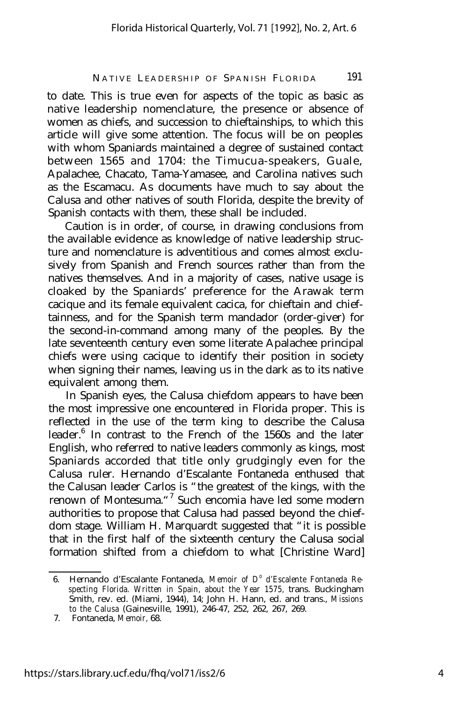to date. This is true even for aspects of the topic as basic as native leadership nomenclature, the presence or absence of women as chiefs, and succession to chieftainships, to which this article will give some attention. The focus will be on peoples with whom Spaniards maintained a degree of sustained contact between 1565 and 1704: the Timucua-speakers, Guale, Apalachee, Chacato, Tama-Yamasee, and Carolina natives such as the Escamacu. As documents have much to say about the Calusa and other natives of south Florida, despite the brevity of Spanish contacts with them, these shall be included.

Caution is in order, of course, in drawing conclusions from the available evidence as knowledge of native leadership structure and nomenclature is adventitious and comes almost exclusively from Spanish and French sources rather than from the natives themselves. And in a majority of cases, native usage is cloaked by the Spaniards' preference for the Arawak term cacique and its female equivalent cacica, for chieftain and chieftainness, and for the Spanish term mandador (order-giver) for the second-in-command among many of the peoples. By the late seventeenth century even some literate Apalachee principal chiefs were using cacique to identify their position in society when signing their names, leaving us in the dark as to its native equivalent among them.

In Spanish eyes, the Calusa chiefdom appears to have been the most impressive one encountered in Florida proper. This is reflected in the use of the term king to describe the Calusa leader.<sup>6</sup> In contrast to the French of the 1560s and the later English, who referred to native leaders commonly as kings, most Spaniards accorded that title only grudgingly even for the Calusa ruler. Hernando d'Escalante Fontaneda enthused that the Calusan leader Carlos is "the greatest of the kings, with the renown of Montesuma."<sup>7</sup> Such encomia have led some modern authorities to propose that Calusa had passed beyond the chiefdom stage. William H. Marquardt suggested that "it is possible that in the first half of the sixteenth century the Calusa social formation shifted from a chiefdom to what [Christine Ward]

<sup>6.</sup> Hernando d'Escalante Fontaneda, *Memoir of D<sup>o</sup> d'Escalente Fontaneda Respecting Florida. Written in Spain, about the Year 1575,* trans. Buckingham Smith, rev. ed. (Miami, 1944), 14; John H. Hann, ed. and trans., *Missions to the Calusa* (Gainesville, 1991), 246-47, 252, 262, 267, 269.

<sup>7.</sup> Fontaneda, *Memoir,* 68.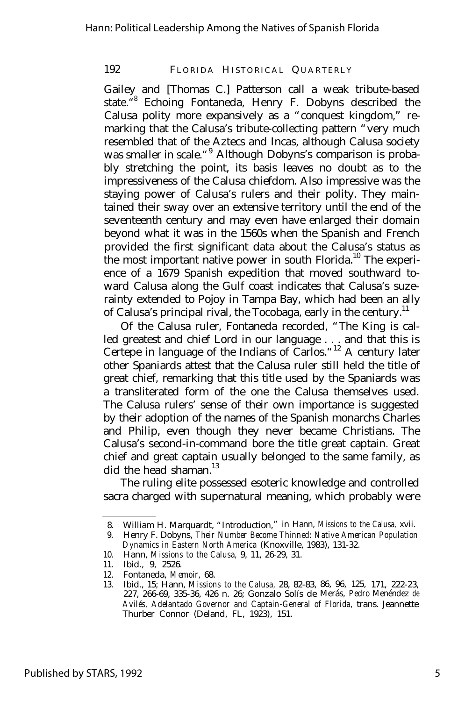Gailey and [Thomas C.] Patterson call a weak tribute-based state." 8 Echoing Fontaneda, Henry F. Dobyns described the Calusa polity more expansively as a "conquest kingdom," remarking that the Calusa's tribute-collecting pattern "very much resembled that of the Aztecs and Incas, although Calusa society was smaller in scale."<sup>9</sup> Although Dobyns's comparison is probably stretching the point, its basis leaves no doubt as to the impressiveness of the Calusa chiefdom. Also impressive was the staying power of Calusa's rulers and their polity. They maintained their sway over an extensive territory until the end of the seventeenth century and may even have enlarged their domain beyond what it was in the 1560s when the Spanish and French provided the first significant data about the Calusa's status as the most important native power in south Florida.<sup>10</sup> The experience of a 1679 Spanish expedition that moved southward toward Calusa along the Gulf coast indicates that Calusa's suzerainty extended to Pojoy in Tampa Bay, which had been an ally of Calusa's principal rival, the Tocobaga, early in the century.<sup>11</sup>

Of the Calusa ruler, Fontaneda recorded, "The King is called greatest and chief Lord in our language . . . and that this is Certepe in language of the Indians of Carlos."<sup>12</sup> A century later other Spaniards attest that the Calusa ruler still held the title of great chief, remarking that this title used by the Spaniards was a transliterated form of the one the Calusa themselves used. The Calusa rulers' sense of their own importance is suggested by their adoption of the names of the Spanish monarchs Charles and Philip, even though they never became Christians. The Calusa's second-in-command bore the title great captain. Great chief and great captain usually belonged to the same family, as did the head shaman.<sup>13</sup>

The ruling elite possessed esoteric knowledge and controlled sacra charged with supernatural meaning, which probably were

<sup>8.</sup> William H. Marquardt, "Introduction," in Hann, *Missions to the Calusa,* xvii.

<sup>9.</sup> Henry F. Dobyns, *Their Number Become Thinned: Native American Population Dynamics in Eastern North America* (Knoxville, 1983), 131-32.

<sup>10.</sup> Hann, *Missions to the Calusa,* 9, 11, 26-29, 31.

<sup>11.</sup> Ibid., 9, 2526.<br>12. Fontaneda. Me

<sup>12.</sup> Fontaneda, *Memoir,* 68.

<sup>13.</sup> Ibid., 15; Hann, *Missions to the Calusa,* 28, 82-83, 86, 96, 125, 171, 222-23, 227, 266-69, 335-36, 426 n. 26; Gonzalo Solís de Merás, *Pedro* Menéndez *de Avilés, Adelantado Governor and Captain-General of Florida,* trans. Jeannette Thurber Connor (Deland, FL, 1923), 151.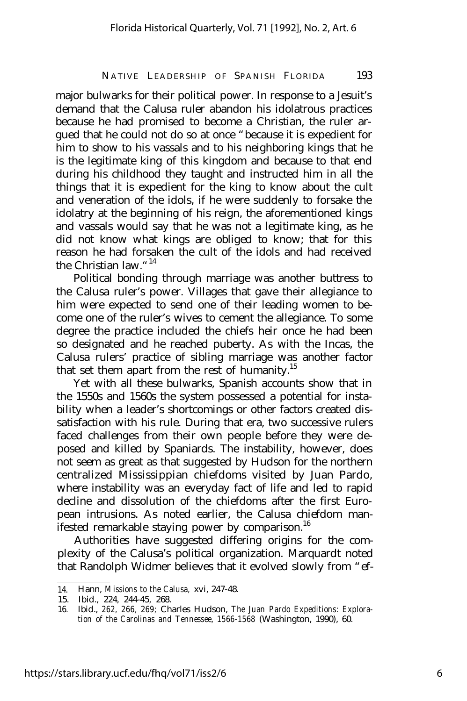major bulwarks for their political power. In response to a Jesuit's demand that the Calusa ruler abandon his idolatrous practices because he had promised to become a Christian, the ruler argued that he could not do so at once "because it is expedient for him to show to his vassals and to his neighboring kings that he is the legitimate king of this kingdom and because to that end during his childhood they taught and instructed him in all the things that it is expedient for the king to know about the cult and veneration of the idols, if he were suddenly to forsake the idolatry at the beginning of his reign, the aforementioned kings and vassals would say that he was not a legitimate king, as he did not know what kings are obliged to know; that for this reason he had forsaken the cult of the idols and had received the Christian law."<sup>14</sup>

Political bonding through marriage was another buttress to the Calusa ruler's power. Villages that gave their allegiance to him were expected to send one of their leading women to become one of the ruler's wives to cement the allegiance. To some degree the practice included the chiefs heir once he had been so designated and he reached puberty. As with the Incas, the Calusa rulers' practice of sibling marriage was another factor that set them apart from the rest of humanity.<sup>15</sup>

Yet with all these bulwarks, Spanish accounts show that in the 1550s and 1560s the system possessed a potential for instability when a leader's shortcomings or other factors created dissatisfaction with his rule. During that era, two successive rulers faced challenges from their own people before they were deposed and killed by Spaniards. The instability, however, does not seem as great as that suggested by Hudson for the northern centralized Mississippian chiefdoms visited by Juan Pardo, where instability was an everyday fact of life and led to rapid decline and dissolution of the chiefdoms after the first European intrusions. As noted earlier, the Calusa chiefdom manifested remarkable staying power by comparison.<sup>16</sup>

Authorities have suggested differing origins for the complexity of the Calusa's political organization. Marquardt noted that Randolph Widmer believes that it evolved slowly from "ef-

<sup>14.</sup> Hann, *Missions to the Calusa,* xvi, 247-48.

<sup>15.</sup> Ibid., 224, 244-45, 268.

<sup>16.</sup> Ibid., *262, 266, 269;* Charles Hudson, *The Juan Pardo Expeditions: Exploration of the Carolinas and Tennessee, 1566-1568* (Washington, 1990), 60.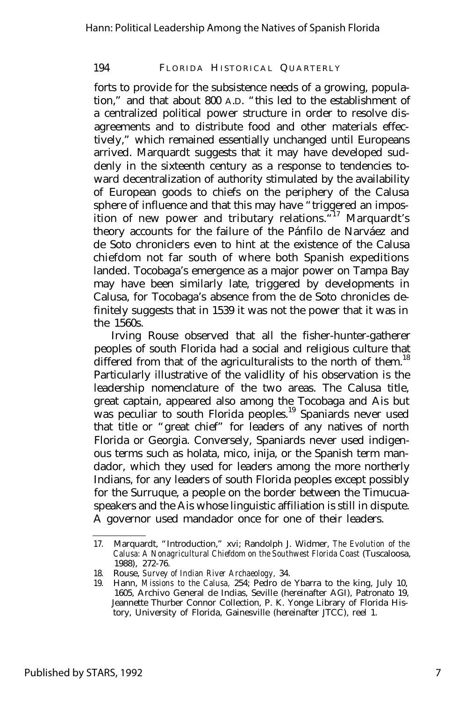forts to provide for the subsistence needs of a growing, population," and that about 800 A.D. "this led to the establishment of a centralized political power structure in order to resolve disagreements and to distribute food and other materials effectively," which remained essentially unchanged until Europeans arrived. Marquardt suggests that it may have developed suddenly in the sixteenth century as a response to tendencies toward decentralization of authority stimulated by the availability of European goods to chiefs on the periphery of the Calusa sphere of influence and that this may have "triggered an imposition of new power and tributary relations. "17 Marquardt's theory accounts for the failure of the Pánfilo de Narváez and de Soto chroniclers even to hint at the existence of the Calusa chiefdom not far south of where both Spanish expeditions landed. Tocobaga's emergence as a major power on Tampa Bay may have been similarly late, triggered by developments in Calusa, for Tocobaga's absence from the de Soto chronicles definitely suggests that in 1539 it was not the power that it was in the 1560s.

Irving Rouse observed that all the fisher-hunter-gatherer peoples of south Florida had a social and religious culture that differed from that of the agriculturalists to the north of them.<sup>18</sup> Particularly illustrative of the validlity of his observation is the leadership nomenclature of the two areas. The Calusa title, great captain, appeared also among the Tocobaga and Ais but was peculiar to south Florida peoples.<sup>19</sup> Spaniards never used that title or "great chief" for leaders of any natives of north Florida or Georgia. Conversely, Spaniards never used indigenous terms such as holata, mico, inija, or the Spanish term mandador, which they used for leaders among the more northerly Indians, for any leaders of south Florida peoples except possibly for the Surruque, a people on the border between the Timucuaspeakers and the Ais whose linguistic affiliation is still in dispute. A governor used mandador once for one of their leaders.

<sup>17.</sup> Marquardt, "Introduction," xvi; Randolph J. Widmer, *The Evolution of the Calusa: A Nonagricultural Chiefdom on the Southwest Florida Coast* (Tuscaloosa, 1988), 272-76.

<sup>18.</sup> Rouse, *Survey of Indian River Archaeology,* 34.

<sup>19.</sup> Hann, *Missions to the Calusa,* 254; Pedro de Ybarra to the king, July 10, 1605, Archivo General de Indias, Seville (hereinafter AGI), Patronato 19, Jeannette Thurber Connor Collection, P. K. Yonge Library of Florida History, University of Florida, Gainesville (hereinafter JTCC), reel 1.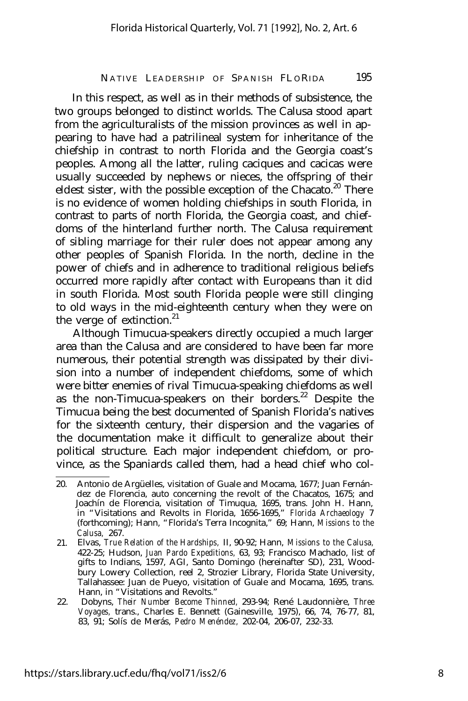In this respect, as well as in their methods of subsistence, the two groups belonged to distinct worlds. The Calusa stood apart from the agriculturalists of the mission provinces as well in appearing to have had a patrilineal system for inheritance of the chiefship in contrast to north Florida and the Georgia coast's peoples. Among all the latter, ruling caciques and cacicas were usually succeeded by nephews or nieces, the offspring of their eldest sister, with the possible exception of the Chacato.<sup>20</sup> There is no evidence of women holding chiefships in south Florida, in contrast to parts of north Florida, the Georgia coast, and chiefdoms of the hinterland further north. The Calusa requirement of sibling marriage for their ruler does not appear among any other peoples of Spanish Florida. In the north, decline in the power of chiefs and in adherence to traditional religious beliefs occurred more rapidly after contact with Europeans than it did in south Florida. Most south Florida people were still clinging to old ways in the mid-eighteenth century when they were on the verge of extinction.<sup>21</sup>

Although Timucua-speakers directly occupied a much larger area than the Calusa and are considered to have been far more numerous, their potential strength was dissipated by their division into a number of independent chiefdoms, some of which were bitter enemies of rival Timucua-speaking chiefdoms as well as the non-Timucua-speakers on their borders.<sup>22</sup> Despite the Timucua being the best documented of Spanish Florida's natives for the sixteenth century, their dispersion and the vagaries of the documentation make it difficult to generalize about their political structure. Each major independent chiefdom, or province, as the Spaniards called them, had a head chief who col-

<sup>20.</sup> Antonio de Argüelles, visitation of Guale and Mocama, 1677; Juan Fernández de Florencia, auto concerning the revolt of the Chacatos, 1675; and Joachín de Florencia, visitation of Timuqua, 1695, trans. John H. Hann, in "Visitations and Revolts in Florida, 1656-1695," *Florida Archaeology* 7 (forthcoming); Hann, "Florida's Terra Incognita," 69; Hann, *Missions to the Calusa,* 267.

<sup>21.</sup> Elvas, *True Relation of the Hardships,* II, 90-92; Hann, *Missions to the Calusa,* 422-25; Hudson, *Juan Pardo Expeditions,* 63, 93; Francisco Machado, list of gifts to Indians, 1597, AGI, Santo Domingo (hereinafter SD), 231, Woodbury Lowery Collection, reel 2, Strozier Library, Florida State University, Tallahassee: Juan de Pueyo, visitation of Guale and Mocama, 1695, trans. Hann, in "Visitations and Revolts."

<sup>22.</sup> Dobyns, *Their Number Become Thinned,* 293-94; René Laudonnière, *Three Voyages,* trans., Charles E. Bennett (Gainesville, 1975), 66, 74, 76-77, 81, 83, 91; Solís de Merás, *Pedro Menéndez,* 202-04, 206-07, 232-33.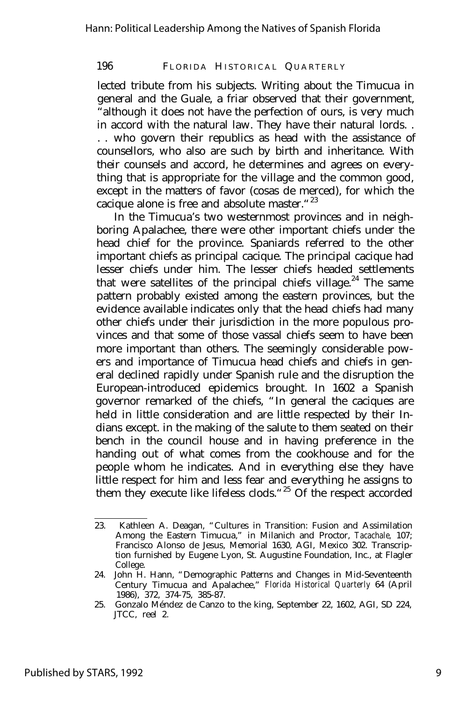lected tribute from his subjects. Writing about the Timucua in general and the Guale, a friar observed that their government, "although it does not have the perfection of ours, is very much in accord with the natural law. They have their natural lords. . . . who govern their republics as head with the assistance of counsellors, who also are such by birth and inheritance. With their counsels and accord, he determines and agrees on everything that is appropriate for the village and the common good, except in the matters of favor (cosas de merced), for which the cacique alone is free and absolute master."<sup>23</sup>

In the Timucua's two westernmost provinces and in neighboring Apalachee, there were other important chiefs under the head chief for the province. Spaniards referred to the other important chiefs as principal cacique. The principal cacique had lesser chiefs under him. The lesser chiefs headed settlements that were satellites of the principal chiefs village.<sup>24</sup> The same pattern probably existed among the eastern provinces, but the evidence available indicates only that the head chiefs had many other chiefs under their jurisdiction in the more populous provinces and that some of those vassal chiefs seem to have been more important than others. The seemingly considerable powers and importance of Timucua head chiefs and chiefs in general declined rapidly under Spanish rule and the disruption the European-introduced epidemics brought. In 1602 a Spanish governor remarked of the chiefs, "In general the caciques are held in little consideration and are little respected by their Indians except. in the making of the salute to them seated on their bench in the council house and in having preference in the handing out of what comes from the cookhouse and for the people whom he indicates. And in everything else they have little respect for him and less fear and everything he assigns to them they execute like lifeless clods."<sup>25</sup> Of the respect accorded

<sup>23.</sup> Kathleen A. Deagan, "Cultures in Transition: Fusion and Assimilation Among the Eastern Timucua," in Milanich and Proctor, *Tacachale,* 107; Francisco Alonso de Jesus, Memorial 1630, AGI, Mexico 302. Transcription furnished by Eugene Lyon, St. Augustine Foundation, Inc., at Flagler College.

<sup>24.</sup> John H. Hann, "Demographic Patterns and Changes in Mid-Seventeenth Century Timucua and Apalachee," *Florida Historical Quarterly* 64 (April 1986), 372, 374-75, 385-87.

<sup>25.</sup> Gonzalo Méndez de Canzo to the king, September 22, 1602, AGI, SD 224, JTCC, reel 2.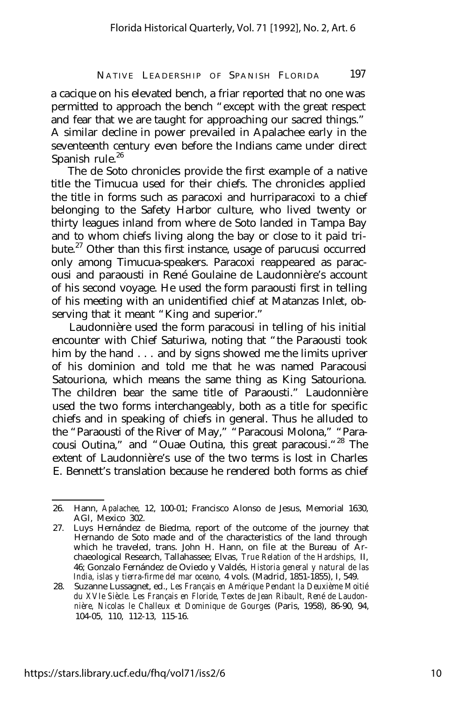a cacique on his elevated bench, a friar reported that no one was permitted to approach the bench "except with the great respect and fear that we are taught for approaching our sacred things." A similar decline in power prevailed in Apalachee early in the seventeenth century even before the Indians came under direct Spanish rule.<sup>26</sup>

The de Soto chronicles provide the first example of a native title the Timucua used for their chiefs. The chronicles applied the title in forms such as paracoxi and hurriparacoxi to a chief belonging to the Safety Harbor culture, who lived twenty or thirty leagues inland from where de Soto landed in Tampa Bay and to whom chiefs living along the bay or close to it paid tribute.<sup>27</sup> Other than this first instance, usage of parucusi occurred only among Timucua-speakers. Paracoxi reappeared as paracousi and paraousti in René Goulaine de Laudonnière's account of his second voyage. He used the form paraousti first in telling of his meeting with an unidentified chief at Matanzas Inlet, observing that it meant "King and superior."

Laudonnière used the form paracousi in telling of his initial encounter with Chief Saturiwa, noting that "the Paraousti took him by the hand . . . and by signs showed me the limits upriver of his dominion and told me that he was named Paracousi Satouriona, which means the same thing as King Satouriona. The children bear the same title of Paraousti." Laudonnière used the two forms interchangeably, both as a title for specific chiefs and in speaking of chiefs in general. Thus he alluded to the "Paraousti of the River of May," "Paracousi Molona," "Paracousi Outina," and "Ouae Outina, this great paracousi."<sup>28</sup> The extent of Laudonnière's use of the two terms is lost in Charles E. Bennett's translation because he rendered both forms as chief

<sup>26.</sup> Hann, *Apalachee,* 12, 100-01; Francisco Alonso de Jesus, Memorial 1630, AGI, Mexico 302.

<sup>27.</sup> Luys Hernández de Biedma, report of the outcome of the journey that Hernando de Soto made and of the characteristics of the land through which he traveled, trans. John H. Hann, on file at the Bureau of Archaeological Research, Tallahassee; Elvas, *True Relation of the Hardships,* II, 46; Gonzalo Fernández de Oviedo y Valdés, *Historia general y natural de las India, islas y tierra-firme del mar oceano,* 4 vols. (Madrid, 1851-1855), I, 549.

<sup>28.</sup> Suzanne Lussagnet, ed., *Les Français en Amérique Pendant la Deuxième Moitié du XVIe Siècle. Les Français en Floride, Textes de Jean Ribault, René de Laudonnière, Nicolas le Challeux et Dominique de Gourges* (Paris, 1958), 86-90, 94, 104-05, 110, 112-13, 115-16.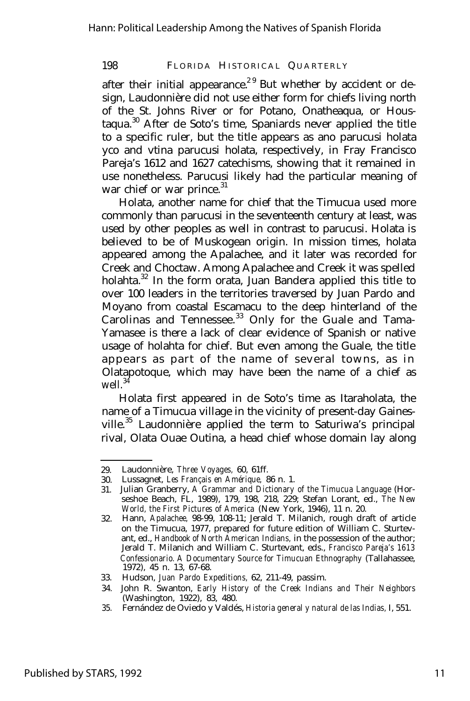after their initial appearance.<sup>29</sup> But whether by accident or design, Laudonnière did not use either form for chiefs living north of the St. Johns River or for Potano, Onatheaqua, or Houstaqua.<sup>30</sup> After de Soto's time, Spaniards never applied the title to a specific ruler, but the title appears as ano parucusi holata yco and vtina parucusi holata, respectively, in Fray Francisco Pareja's 1612 and 1627 catechisms, showing that it remained in use nonetheless. Parucusi likely had the particular meaning of war chief or war prince.<sup>31</sup>

Holata, another name for chief that the Timucua used more commonly than parucusi in the seventeenth century at least, was used by other peoples as well in contrast to parucusi. Holata is believed to be of Muskogean origin. In mission times, holata appeared among the Apalachee, and it later was recorded for Creek and Choctaw. Among Apalachee and Creek it was spelled holahta. $32$  In the form orata, Juan Bandera applied this title to over 100 leaders in the territories traversed by Juan Pardo and Moyano from coastal Escamacu to the deep hinterland of the Carolinas and Tennessee.<sup>33</sup> Only for the Guale and Tama-Yamasee is there a lack of clear evidence of Spanish or native usage of holahta for chief. But even among the Guale, the title appears as part of the name of several towns, as in Olatapotoque, which may have been the name of a chief as well.<sup>34</sup>

Holata first appeared in de Soto's time as Itaraholata, the name of a Timucua village in the vicinity of present-day Gainesville.<sup>35</sup> Laudonnière applied the term to Saturiwa's principal rival, Olata Ouae Outina, a head chief whose domain lay along

35. Fernández de Oviedo y Valdés, *Historia general y natural de las Indias,* I, 551.

<sup>29.</sup> Laudonnière, *Three Voyages,* 60, 61ff.

<sup>30.</sup> Lussagnet, *Les Français en Amérique,* 86 n. 1.

<sup>31.</sup> Julian Granberry, *A Grammar and Dictionary of the Timucua Language* (Horseshoe Beach, FL, 1989), 179, 198, 218, 229; Stefan Lorant, ed., *The New World, the First Pictures of America* (New York, 1946), 11 n. 20.

<sup>32.</sup> Hann, *Apalachee,* 98-99, 108-11; Jerald T. Milanich, rough draft of article on the Timucua, 1977, prepared for future edition of William C. Sturtevant, ed., *Handbook of North American Indians,* in the possession of the author; Jerald T. Milanich and William C. Sturtevant, eds., *Francisco Pareja's 1613 Confessionario. A Documentary Source for Timucuan Ethnography* (Tallahassee, 1972), 45 n. 13, 67-68.

<sup>33.</sup> Hudson, *Juan Pardo Expeditions,* 62, 211-49, passim.

<sup>34.</sup> John R. Swanton, *Early History of the Creek Indians and Their Neighbors* (Washington, 1922), 83, 480.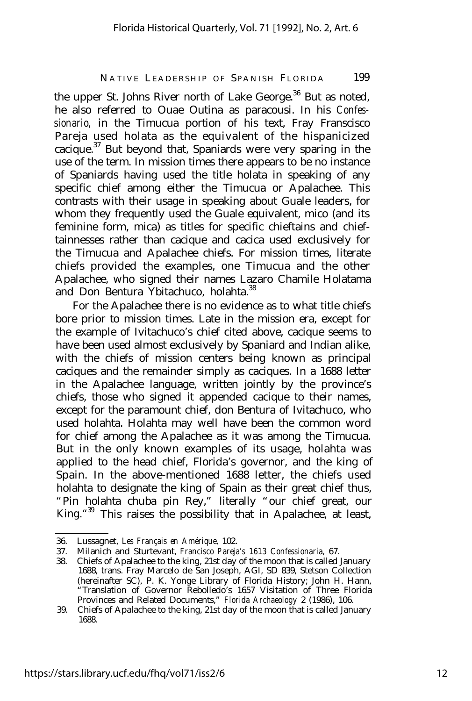the upper St. Johns River north of Lake George. $36$  But as noted, he also referred to Ouae Outina as paracousi. In his *Confessionario,* in the Timucua portion of his text, Fray Franscisco Pareja used holata as the equivalent of the hispanicized cacique. $37$  But beyond that, Spaniards were very sparing in the use of the term. In mission times there appears to be no instance of Spaniards having used the title holata in speaking of any specific chief among either the Timucua or Apalachee. This contrasts with their usage in speaking about Guale leaders, for whom they frequently used the Guale equivalent, mico (and its feminine form, mica) as titles for specific chieftains and chieftainnesses rather than cacique and cacica used exclusively for the Timucua and Apalachee chiefs. For mission times, literate chiefs provided the examples, one Timucua and the other Apalachee, who signed their names Lazaro Chamile Holatama and Don Bentura Ybitachuco, holahta.<sup>38</sup>

For the Apalachee there is no evidence as to what title chiefs bore prior to mission times. Late in the mission era, except for the example of Ivitachuco's chief cited above, cacique seems to have been used almost exclusively by Spaniard and Indian alike, with the chiefs of mission centers being known as principal caciques and the remainder simply as caciques. In a 1688 letter in the Apalachee language, written jointly by the province's chiefs, those who signed it appended cacique to their names, except for the paramount chief, don Bentura of Ivitachuco, who used holahta. Holahta may well have been the common word for chief among the Apalachee as it was among the Timucua. But in the only known examples of its usage, holahta was applied to the head chief, Florida's governor, and the king of Spain. In the above-mentioned 1688 letter, the chiefs used holahta to designate the king of Spain as their great chief thus, "Pin holahta chuba pin Rey," literally "our chief great, our King." <sup>39</sup> This raises the possibility that in Apalachee, at least,

<sup>36.</sup> Lussagnet, *Les Français en Amérique,* 102.

<sup>37.</sup> Milanich and Sturtevant, *Francisco Pareja's 1613 Confessionaria,* 67.

<sup>38.</sup> Chiefs of Apalachee to the king, 21st day of the moon that is called January 1688, trans. Fray Marcelo de San Joseph, AGI, SD 839, Stetson Collection (hereinafter SC), P. K. Yonge Library of Florida History; John H. Hann, "Translation of Governor Rebolledo's 1657 Visitation of Three Florida Provinces and Related Documents," *Florida Archaeology* 2 (1986), 106.

<sup>39.</sup> Chiefs of Apalachee to the king, 21st day of the moon that is called January 1688.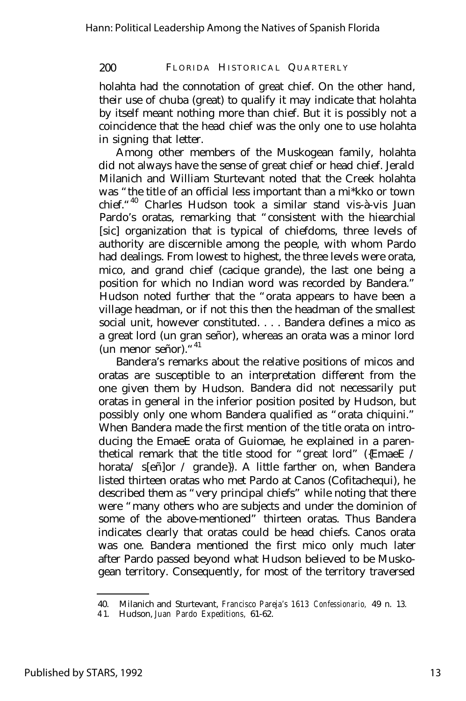holahta had the connotation of great chief. On the other hand, their use of chuba (great) to qualify it may indicate that holahta by itself meant nothing more than chief. But it is possibly not a coincidence that the head chief was the only one to use holahta in signing that letter.

Among other members of the Muskogean family, holahta did not always have the sense of great chief or head chief. Jerald Milanich and William Sturtevant noted that the Creek holahta was "the title of an official less important than a mi\*kko or town chief."<sup>40</sup> Charles Hudson took a similar stand vis-à-vis Juan Pardo's oratas, remarking that "consistent with the hiearchial [sic] organization that is typical of chiefdoms, three levels of authority are discernible among the people, with whom Pardo had dealings. From lowest to highest, the three levels were orata, mico, and grand chief (cacique grande), the last one being a position for which no Indian word was recorded by Bandera." Hudson noted further that the "orata appears to have been a village headman, or if not this then the headman of the smallest social unit, however constituted. . . . Bandera defines a mico as a great lord (un gran señor), whereas an orata was a minor lord (un menor señor)."<sup>41</sup>

Bandera's remarks about the relative positions of micos and oratas are susceptible to an interpretation different from the one given them by Hudson. Bandera did not necessarily put oratas in general in the inferior position posited by Hudson, but possibly only one whom Bandera qualified as "orata chiquini." When Bandera made the first mention of the title orata on introducing the EmaeE orata of Guiomae, he explained in a parenthetical remark that the title stood for "great lord" ({EmaeE / horata/ s[eñ]or / grande}). A little farther on, when Bandera listed thirteen oratas who met Pardo at Canos (Cofitachequi), he described them as "very principal chiefs" while noting that there were "many others who are subjects and under the dominion of some of the above-mentioned" thirteen oratas. Thus Bandera indicates clearly that oratas could be head chiefs. Canos orata was one. Bandera mentioned the first mico only much later after Pardo passed beyond what Hudson believed to be Muskogean territory. Consequently, for most of the territory traversed

<sup>40.</sup> Milanich and Sturtevant, *Francisco Pareja's 1613 Confessionario,* 49 n. 13.

<sup>4 1.</sup> Hudson, *Juan Pardo Expeditions,* 61-62.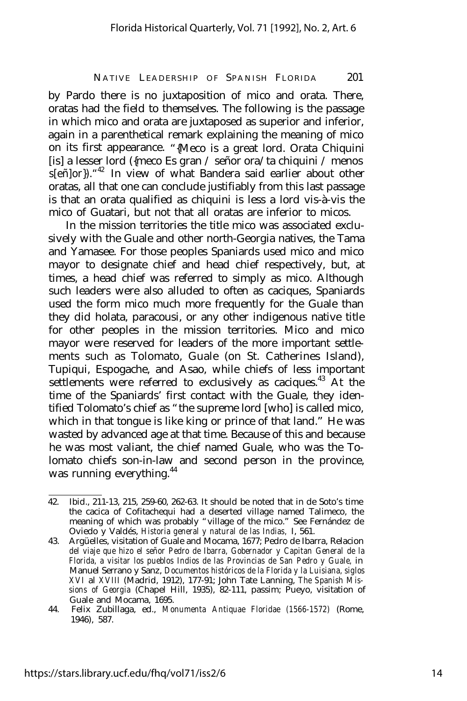by Pardo there is no juxtaposition of mico and orata. There, oratas had the field to themselves. The following is the passage in which mico and orata are juxtaposed as superior and inferior, again in a parenthetical remark explaining the meaning of mico on its first appearance. "{Meco is a great lord. Orata Chiquini [is] a lesser lord ({meco Es gran / señor ora/ta chiquini / menos s[eñ]or})."<sup>42</sup> In view of what Bandera said earlier about other oratas, all that one can conclude justifiably from this last passage is that an orata qualified as chiquini is less a lord vis-à-vis the mico of Guatari, but not that all oratas are inferior to micos.

In the mission territories the title mico was associated exclusively with the Guale and other north-Georgia natives, the Tama and Yamasee. For those peoples Spaniards used mico and mico mayor to designate chief and head chief respectively, but, at times, a head chief was referred to simply as mico. Although such leaders were also alluded to often as caciques, Spaniards used the form mico much more frequently for the Guale than they did holata, paracousi, or any other indigenous native title for other peoples in the mission territories. Mico and mico mayor were reserved for leaders of the more important settlements such as Tolomato, Guale (on St. Catherines Island), Tupiqui, Espogache, and Asao, while chiefs of less important settlements were referred to exclusively as caciques.<sup>43</sup> At the time of the Spaniards' first contact with the Guale, they identified Tolomato's chief as "the supreme lord [who] is called mico, which in that tongue is like king or prince of that land." He was wasted by advanced age at that time. Because of this and because he was most valiant, the chief named Guale, who was the Tolomato chiefs son-in-law and second person in the province, was running everything.<sup>44</sup>

<sup>42.</sup> Ibid., 211-13, 215, 259-60, 262-63. It should be noted that in de Soto's time the cacica of Cofitachequi had a deserted village named Talimeco, the meaning of which was probably "village of the mico." See Fernández de Oviedo y Valdés, *Historia general y natural de las Indias,* I, 561.

<sup>43.</sup> Argüelles, visitation of Guale and Mocama, 1677; Pedro de Ibarra, Relacion *del viaje que hizo el señor Pedro de Ibarra, Gobernador y Capitan General de la Florida, a visitar los pueblos Indios de las Provincias de San Pedro y Guale,* in Manuel Serrano y Sanz, *Documentos históricos de la Florida y la Luisiana, siglos XVI* al *XVIII* (Madrid, 1912), 177-91; John Tate Lanning, *The Spanish Missions of Georgia* (Chapel Hill, 1935), 82-111, passim; Pueyo, visitation of Guale and Mocama, 1695.

<sup>44.</sup> Felix Zubillaga, ed., *Monumenta Antiquae Floridae (1566-1572)* (Rome, 1946), 587.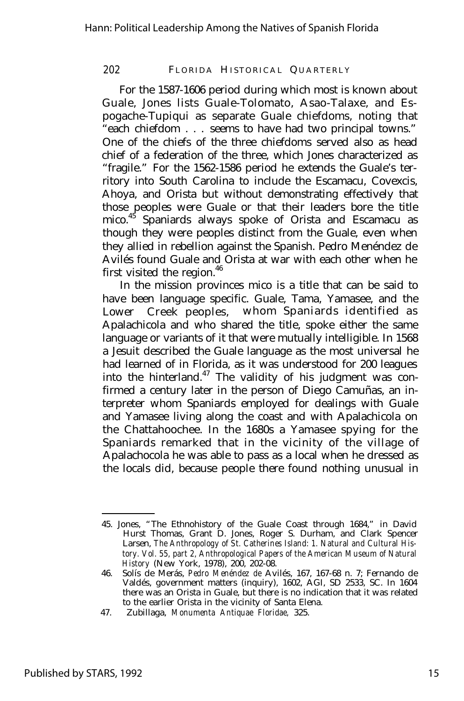For the 1587-1606 period during which most is known about Guale, Jones lists Guale-Tolomato, Asao-Talaxe, and Espogache-Tupiqui as separate Guale chiefdoms, noting that "each chiefdom . . . seems to have had two principal towns." One of the chiefs of the three chiefdoms served also as head chief of a federation of the three, which Jones characterized as "fragile." For the 1562-1586 period he extends the Guale's territory into South Carolina to include the Escamacu, Covexcis, Ahoya, and Orista but without demonstrating effectively that those peoples were Guale or that their leaders bore the title mico.<sup>45</sup> Spaniards always spoke of Orista and Escamacu as though they were peoples distinct from the Guale, even when they allied in rebellion against the Spanish. Pedro Menéndez de Avilés found Guale and Orista at war with each other when he first visited the region.<sup>46</sup>

In the mission provinces mico is a title that can be said to have been language specific. Guale, Tama, Yamasee, and the Lower Creek peoples, whom Spaniards identified as Apalachicola and who shared the title, spoke either the same language or variants of it that were mutually intelligible. In 1568 a Jesuit described the Guale language as the most universal he had learned of in Florida, as it was understood for 200 leagues into the hinterland. $47$  The validity of his judgment was confirmed a century later in the person of Diego Camuñas, an interpreter whom Spaniards employed for dealings with Guale and Yamasee living along the coast and with Apalachicola on the Chattahoochee. In the 1680s a Yamasee spying for the Spaniards remarked that in the vicinity of the village of Apalachocola he was able to pass as a local when he dressed as the locals did, because people there found nothing unusual in

<sup>45.</sup> Jones, "The Ethnohistory of the Guale Coast through 1684," in David Hurst Thomas, Grant D. Jones, Roger S. Durham, and Clark Spencer Larsen, *The Anthropology of St. Catherines Island: 1. Natural and Cultural History. Vol. 55, part 2, Anthropological Papers of the American Museum of Natural History* (New York, 1978), 200, 202-08.

<sup>46.</sup> Solís de Merás, *Pedro Menéndez de* Avilés, 167, 167-68 n. 7; Fernando de Valdés, government matters (inquiry), 1602, AGI, SD 2533, SC. In 1604 there was an Orista in Guale, but there is no indication that it was related to the earlier Orista in the vicinity of Santa Elena.

<sup>47.</sup> Zubillaga, *Monumenta Antiquae Floridae,* 325.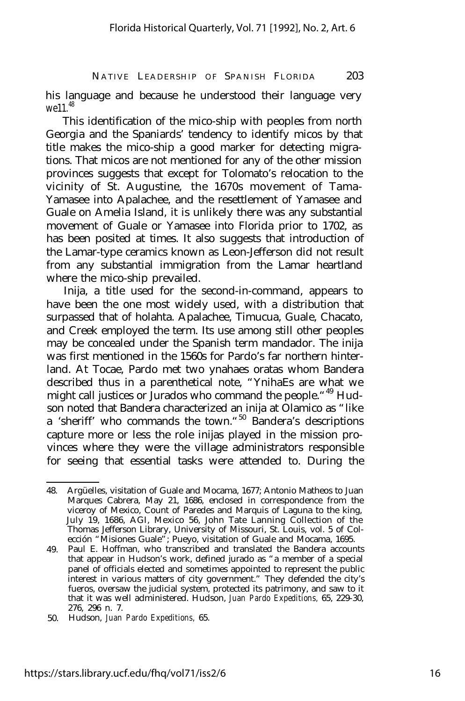his language and because he understood their language very we11<sup>48</sup>

This identification of the mico-ship with peoples from north Georgia and the Spaniards' tendency to identify micos by that title makes the mico-ship a good marker for detecting migrations. That micos are not mentioned for any of the other mission provinces suggests that except for Tolomato's relocation to the vicinity of St. Augustine, the 1670s movement of Tama-Yamasee into Apalachee, and the resettlement of Yamasee and Guale on Amelia Island, it is unlikely there was any substantial movement of Guale or Yamasee into Florida prior to 1702, as has been posited at times. It also suggests that introduction of the Lamar-type ceramics known as Leon-Jefferson did not result from any substantial immigration from the Lamar heartland where the mico-ship prevailed.

Inija, a title used for the second-in-command, appears to have been the one most widely used, with a distribution that surpassed that of holahta. Apalachee, Timucua, Guale, Chacato, and Creek employed the term. Its use among still other peoples may be concealed under the Spanish term mandador. The inija was first mentioned in the 1560s for Pardo's far northern hinterland. At Tocae, Pardo met two ynahaes oratas whom Bandera described thus in a parenthetical note, "YnihaEs are what we might call justices or Jurados who command the people. "<sup>49</sup> Hudson noted that Bandera characterized an inija at Olamico as "like a 'sheriff' who commands the town."<sup>50</sup> Bandera's descriptions capture more or less the role inijas played in the mission provinces where they were the village administrators responsible for seeing that essential tasks were attended to. During the

<sup>48.</sup> Argüelles, visitation of Guale and Mocama, 1677; Antonio Matheos to Juan Marques Cabrera, May 21, 1686, enclosed in correspondence from the viceroy of Mexico, Count of Paredes and Marquis of Laguna to the king, July 19, 1686, AGI, Mexico 56, John Tate Lanning Collection of the Thomas Jefferson Library, University of Missouri, St. Louis, vol. 5 of Colección "Misiones Guale"; Pueyo, visitation of Guale and Mocama, 1695.

<sup>49.</sup> Paul E. Hoffman, who transcribed and translated the Bandera accounts that appear in Hudson's work, defined jurado as "a member of a special panel of officials elected and sometimes appointed to represent the public interest in various matters of city government." They defended the city's fueros, oversaw the judicial system, protected its patrimony, and saw to it that it was well administered. Hudson, *Juan Pardo Expeditions,* 65, 229-30, 276, 296 n. 7.

<sup>50.</sup> Hudson, *Juan Pardo Expeditions,* 65.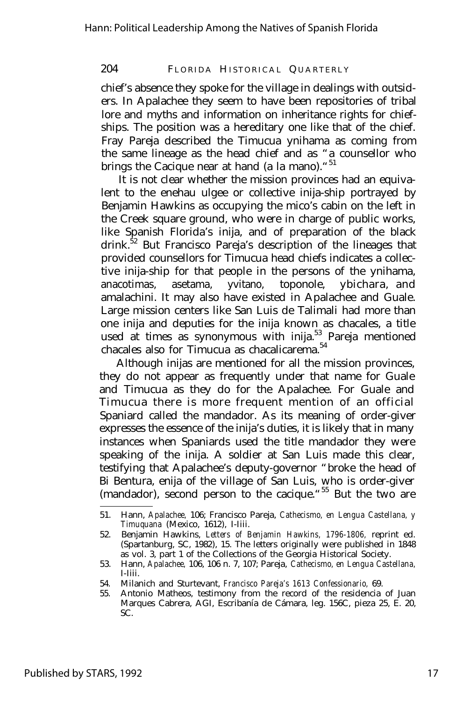chief's absence they spoke for the village in dealings with outsiders. In Apalachee they seem to have been repositories of tribal lore and myths and information on inheritance rights for chiefships. The position was a hereditary one like that of the chief. Fray Pareja described the Timucua ynihama as coming from the same lineage as the head chief and as "a counsellor who brings the Cacique near at hand (a la mano)."<sup>51</sup>

It is not clear whether the mission provinces had an equivalent to the enehau ulgee or collective inija-ship portrayed by Benjamin Hawkins as occupying the mico's cabin on the left in the Creek square ground, who were in charge of public works, like Spanish Florida's inija, and of preparation of the black drink. $52$  But Francisco Pareja's description of the lineages that provided counsellors for Timucua head chiefs indicates a collective inija-ship for that people in the persons of the ynihama, anacotimas, asetama, yvitano, toponole, ybichara, and amalachini. It may also have existed in Apalachee and Guale. Large mission centers like San Luis de Talimali had more than one inija and deputies for the inija known as chacales, a title used at times as synonymous with inija.<sup>53</sup> Pareja mentioned chacales also for Timucua as chacalicarema.<sup>54</sup>

Although inijas are mentioned for all the mission provinces, they do not appear as frequently under that name for Guale and Timucua as they do for the Apalachee. For Guale and Timucua there is more frequent mention of an official Spaniard called the mandador. As its meaning of order-giver expresses the essence of the inija's duties, it is likely that in many instances when Spaniards used the title mandador they were speaking of the inija. A soldier at San Luis made this clear, testifying that Apalachee's deputy-governor "broke the head of Bi Bentura, enija of the village of San Luis, who is order-giver (mandador), second person to the cacique."<sup>55</sup> But the two are

<sup>51.</sup> Hann, *Apalachee,* 106; Francisco Pareja, *Cathecismo, en Lengua Castellana, y Timuquana* (Mexico, 1612), I-Iiii.

<sup>52.</sup> Benjamin Hawkins, *Letters of Benjamin Hawkins, 1796-1806,* reprint ed. (Spartanburg, SC, 1982), 15. The letters originally were published in 1848 as vol. 3, part 1 of the Collections of the Georgia Historical Society.

<sup>53.</sup> Hann, *Apalachee,* 106, 106 n. 7, 107; Pareja, *Cathecismo, en Lengua Castellana,* I-Iiii.

<sup>54.</sup> Milanich and Sturtevant, *Francisco Pareja's 1613 Confessionario,* 69.

<sup>55.</sup> Antonio Matheos, testimony from the record of the residencia of Juan Marques Cabrera, AGI, Escribanía de Cámara, leg. 156C, pieza 25, E. 20, SC.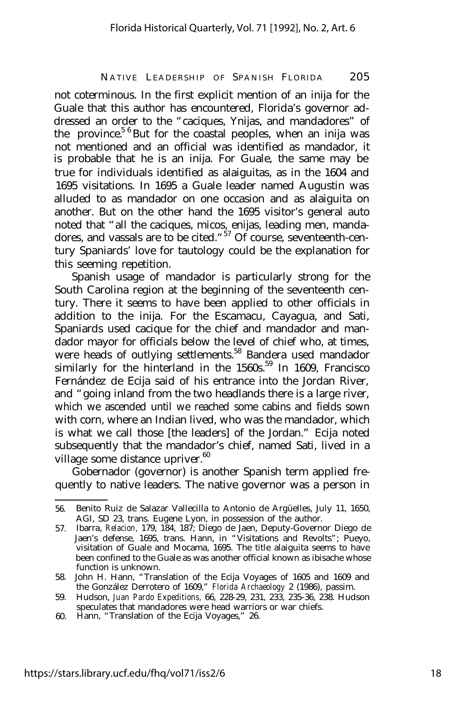not coterminous. In the first explicit mention of an inija for the Guale that this author has encountered, Florida's governor addressed an order to the "caciques, Ynijas, and mandadores" of the province.<sup>5 6</sup> But for the coastal peoples, when an inija was not mentioned and an official was identified as mandador, it is probable that he is an inija. For Guale, the same may be true for individuals identified as alaiguitas, as in the 1604 and 1695 visitations. In 1695 a Guale leader named Augustin was alluded to as mandador on one occasion and as alaiguita on another. But on the other hand the 1695 visitor's general auto noted that "all the caciques, micos, enijas, leading men, mandadores, and vassals are to be cited. "<sup>57</sup> Of course, seventeenth-century Spaniards' love for tautology could be the explanation for this seeming repetition.

Spanish usage of mandador is particularly strong for the South Carolina region at the beginning of the seventeenth century. There it seems to have been applied to other officials in addition to the inija. For the Escamacu, Cayagua, and Sati, Spaniards used cacique for the chief and mandador and mandador mayor for officials below the level of chief who, at times, were heads of outlying settlements.<sup>58</sup> Bandera used mandador similarly for the hinterland in the  $1560s$ .<sup>59</sup> In 1609, Francisco Fernández de Ecija said of his entrance into the Jordan River, and "going inland from the two headlands there is a large river, which we ascended until we reached some cabins and fields sown with corn, where an Indian lived, who was the mandador, which is what we call those [the leaders] of the Jordan." Ecija noted subsequently that the mandador's chief, named Sati, lived in a village some distance upriver.<sup>60</sup>

Gobernador (governor) is another Spanish term applied frequently to native leaders. The native governor was a person in

<sup>56.</sup> Benito Ruiz de Salazar Vallecilla to Antonio de Argüelles, July 11, 1650, AGI, SD 23, trans. Eugene Lyon, in possession of the author.

<sup>57.</sup> Ibarra, *Relacion,* 179, 184, 187; Diego de Jaen, Deputy-Governor Diego de Jaen's defense, 1695, trans. Hann, in "Visitations and Revolts"; Pueyo, visitation of Guale and Mocama, 1695. The title alaiguita seems to have been confined to the Guale as was another official known as ibisache whose function is unknown.

<sup>58.</sup> John H. Hann, "Translation of the Ecija Voyages of 1605 and 1609 and the González Derrotero of 1609," *Florida Archaeology* 2 (1986), passim.

<sup>59.</sup> Hudson, *Juan Pardo Expeditions,* 66, 228-29, 231, 233, 235-36, 238. Hudson speculates that mandadores were head warriors or war chiefs.

<sup>60.</sup> Hann, "Translation of the Ecija Voyages," 26.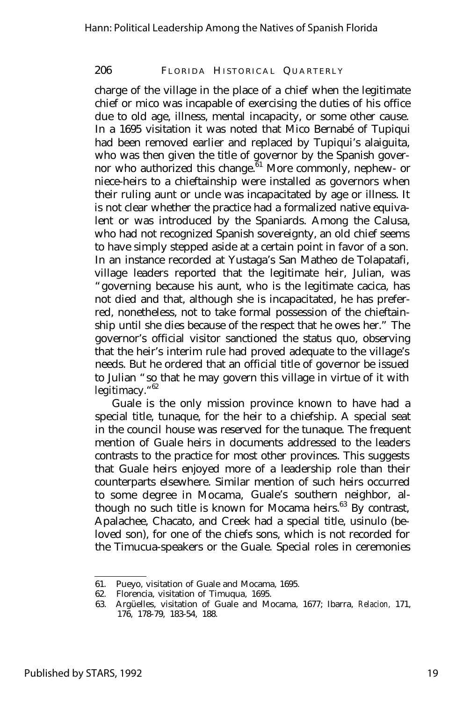charge of the village in the place of a chief when the legitimate chief or mico was incapable of exercising the duties of his office due to old age, illness, mental incapacity, or some other cause. In a 1695 visitation it was noted that Mico Bernabé of Tupiqui had been removed earlier and replaced by Tupiqui's alaiguita, who was then given the title of governor by the Spanish governor who authorized this change.<sup>61</sup> More commonly, nephew- or niece-heirs to a chieftainship were installed as governors when their ruling aunt or uncle was incapacitated by age or illness. It is not clear whether the practice had a formalized native equivalent or was introduced by the Spaniards. Among the Calusa, who had not recognized Spanish sovereignty, an old chief seems to have simply stepped aside at a certain point in favor of a son. In an instance recorded at Yustaga's San Matheo de Tolapatafi, village leaders reported that the legitimate heir, Julian, was "governing because his aunt, who is the legitimate cacica, has not died and that, although she is incapacitated, he has preferred, nonetheless, not to take formal possession of the chieftainship until she dies because of the respect that he owes her." The governor's official visitor sanctioned the status quo, observing that the heir's interim rule had proved adequate to the village's needs. But he ordered that an official title of governor be issued to Julian "so that he may govern this village in virtue of it with legitimacy."<sup>62</sup>

Guale is the only mission province known to have had a special title, tunaque, for the heir to a chiefship. A special seat in the council house was reserved for the tunaque. The frequent mention of Guale heirs in documents addressed to the leaders contrasts to the practice for most other provinces. This suggests that Guale heirs enjoyed more of a leadership role than their counterparts elsewhere. Similar mention of such heirs occurred to some degree in Mocama, Guale's southern neighbor, although no such title is known for Mocama heirs.<sup>63</sup> By contrast, Apalachee, Chacato, and Creek had a special title, usinulo (beloved son), for one of the chiefs sons, which is not recorded for the Timucua-speakers or the Guale. Special roles in ceremonies

<sup>61.</sup> Pueyo, visitation of Guale and Mocama, 1695.

<sup>62.</sup> Florencia, visitation of Timuqua, 1695.

<sup>63.</sup> Argüelles, visitation of Guale and Mocama, 1677; Ibarra, *Relacion,* 171, 176, 178-79, 183-54, 188.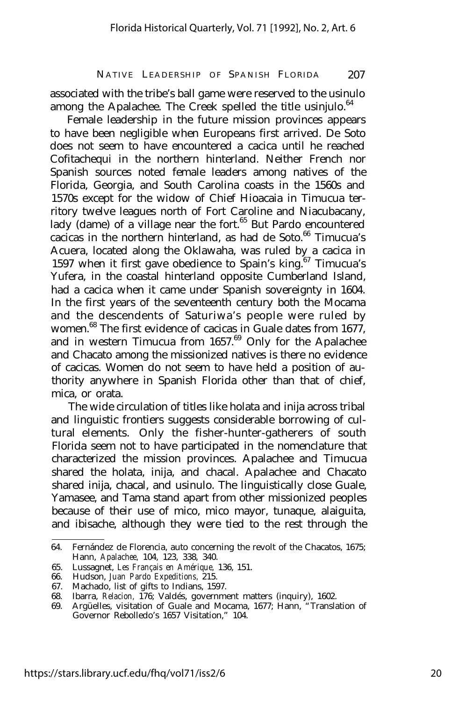associated with the tribe's ball game were reserved to the usinulo among the Apalachee. The Creek spelled the title usinjulo. $64$ 

Female leadership in the future mission provinces appears to have been negligible when Europeans first arrived. De Soto does not seem to have encountered a cacica until he reached Cofitachequi in the northern hinterland. Neither French nor Spanish sources noted female leaders among natives of the Florida, Georgia, and South Carolina coasts in the 1560s and 1570s except for the widow of Chief Hioacaia in Timucua territory twelve leagues north of Fort Caroline and Niacubacany, lady (dame) of a village near the fort.<sup>65</sup> But Pardo encountered cacicas in the northern hinterland, as had de Soto.<sup>66</sup> Timucua's Acuera, located along the Oklawaha, was ruled by a cacica in 1597 when it first gave obedience to Spain's king.<sup>67</sup> Timucua's Yufera, in the coastal hinterland opposite Cumberland Island, had a cacica when it came under Spanish sovereignty in 1604. In the first years of the seventeenth century both the Mocama and the descendents of Saturiwa's people were ruled by women.<sup>68</sup> The first evidence of cacicas in Guale dates from 1677, and in western Timucua from  $1657<sup>69</sup>$  Only for the Apalachee and Chacato among the missionized natives is there no evidence of cacicas. Women do not seem to have held a position of authority anywhere in Spanish Florida other than that of chief, mica, or orata.

The wide circulation of titles like holata and inija across tribal and linguistic frontiers suggests considerable borrowing of cultural elements. Only the fisher-hunter-gatherers of south Florida seem not to have participated in the nomenclature that characterized the mission provinces. Apalachee and Timucua shared the holata, inija, and chacal. Apalachee and Chacato shared inija, chacal, and usinulo. The linguistically close Guale, Yamasee, and Tama stand apart from other missionized peoples because of their use of mico, mico mayor, tunaque, alaiguita, and ibisache, although they were tied to the rest through the

<sup>64.</sup> Fernández de Florencia, auto concerning the revolt of the Chacatos, 1675; Hann, *Apalachee,* 104, 123, 338, 340.

<sup>65.</sup> Lussagnet, *Les Français en Amérique,* 136, 151.

<sup>66.</sup> Hudson, *Juan Pardo Expeditions,* 215.

<sup>67.</sup> Machado, list of gifts to Indians, 1597.

<sup>68.</sup> Ibarra, *Relacion,* 176; Valdés, government matters (inquiry), 1602.

<sup>69.</sup> Argüelles, visitation of Guale and Mocama, 1677; Hann, "Translation of Governor Rebolledo's 1657 Visitation," 104.